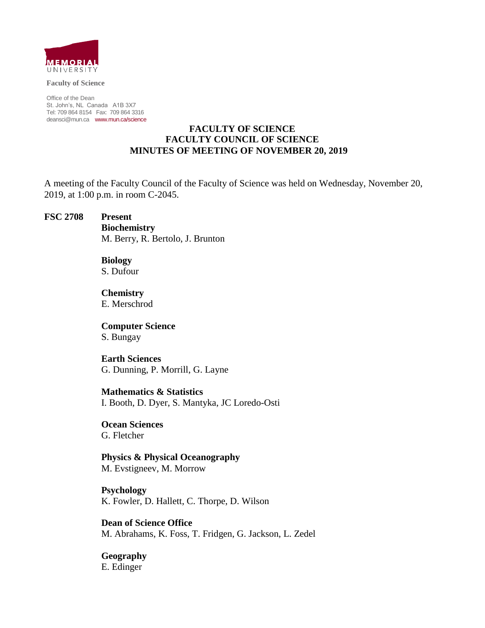

**Faculty of Science**

Office of the Dean St. John's, NL Canada A1B 3X7 Tel: 709 864 8154 Fax: 709 864 3316 [deansci@mun.ca](mailto:deansci@mun.ca) [www.mun.ca/science](http://www.mun.ca/science)

#### **FACULTY OF SCIENCE FACULTY COUNCIL OF SCIENCE MINUTES OF MEETING OF NOVEMBER 20, 2019**

A meeting of the Faculty Council of the Faculty of Science was held on Wednesday, November 20, 2019, at 1:00 p.m. in room C-2045.

**FSC 2708 Present** 

**Biochemistry** M. Berry, R. Bertolo, J. Brunton

**Biology** S. Dufour

**Chemistry** E. Merschrod

**Computer Science** S. Bungay

**Earth Sciences** G. Dunning, P. Morrill, G. Layne

**Mathematics & Statistics** I. Booth, D. Dyer, S. Mantyka, JC Loredo-Osti

**Ocean Sciences** G. Fletcher

**Physics & Physical Oceanography** M. Evstigneev, M. Morrow

**Psychology** K. Fowler, D. Hallett, C. Thorpe, D. Wilson

**Dean of Science Office** M. Abrahams, K. Foss, T. Fridgen, G. Jackson, L. Zedel

**Geography** E. Edinger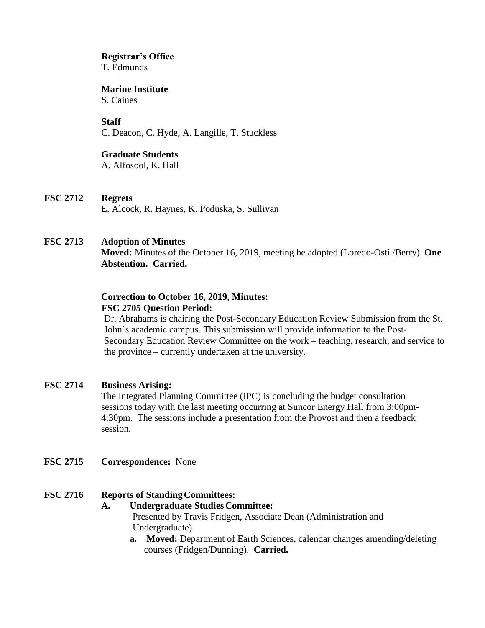# **Registrar's Office**

T. Edmunds

# **Marine Institute**

S. Caines

# **Staff**

C. Deacon, C. Hyde, A. Langille, T. Stuckless

# **Graduate Students**

A. Alfosool, K. Hall

# **FSC 2712 Regrets**

E. Alcock, R. Haynes, K. Poduska, S. Sullivan

# **FSC 2713 Adoption of Minutes**

**Moved:** Minutes of the October 16, 2019, meeting be adopted (Loredo-Osti /Berry). **One Abstention. Carried.**

# **Correction to October 16, 2019, Minutes: FSC 2705 Question Period:**

Dr. Abrahams is chairing the Post-Secondary Education Review Submission from the St. John's academic campus. This submission will provide information to the Post-Secondary Education Review Committee on the work – teaching, research, and service to the province – currently undertaken at the university.

## **FSC 2714 Business Arising:**

The Integrated Planning Committee (IPC) is concluding the budget consultation sessions today with the last meeting occurring at Suncor Energy Hall from 3:00pm-4:30pm. The sessions include a presentation from the Provost and then a feedback session.

#### **FSC 2715 Correspondence:** None

# **FSC** 2716 **Reports of Standing Committees:**

#### **A. Undergraduate StudiesCommittee:**

Presented by Travis Fridgen, Associate Dean (Administration and Undergraduate)

**a. Moved:** Department of Earth Sciences, calendar changes amending/deleting courses (Fridgen/Dunning). **Carried.**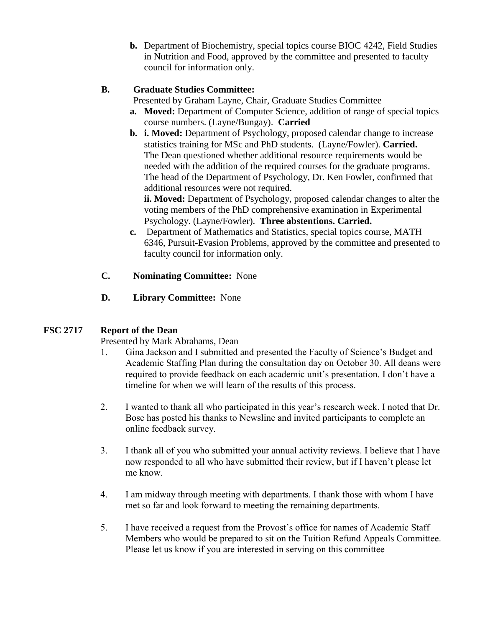**b.** Department of Biochemistry, special topics course BIOC 4242, Field Studies in Nutrition and Food, approved by the committee and presented to faculty council for information only.

# **B. Graduate Studies Committee:**

Presented by Graham Layne, Chair, Graduate Studies Committee

- **a. Moved:** Department of Computer Science, addition of range of special topics course numbers. (Layne/Bungay). **Carried**
- **b. i. Moved:** Department of Psychology, proposed calendar change to increase statistics training for MSc and PhD students. (Layne/Fowler). **Carried.** The Dean questioned whether additional resource requirements would be needed with the addition of the required courses for the graduate programs. The head of the Department of Psychology, Dr. Ken Fowler, confirmed that additional resources were not required.

**ii. Moved:** Department of Psychology, proposed calendar changes to alter the voting members of the PhD comprehensive examination in Experimental Psychology. (Layne/Fowler). **Three abstentions. Carried.**

**c.** Department of Mathematics and Statistics, special topics course, MATH 6346, Pursuit-Evasion Problems, approved by the committee and presented to faculty council for information only.

# **C. Nominating Committee:** None

**D. Library Committee:** None

# **FSC 2717 Report of the Dean**

Presented by Mark Abrahams, Dean

- 1. Gina Jackson and I submitted and presented the Faculty of Science's Budget and Academic Staffing Plan during the consultation day on October 30. All deans were required to provide feedback on each academic unit's presentation. I don't have a timeline for when we will learn of the results of this process.
- 2. I wanted to thank all who participated in this year's research week. I noted that Dr. Bose has posted his thanks to Newsline and invited participants to complete an online feedback survey.
- 3. I thank all of you who submitted your annual activity reviews. I believe that I have now responded to all who have submitted their review, but if I haven't please let me know.
- 4. I am midway through meeting with departments. I thank those with whom I have met so far and look forward to meeting the remaining departments.
- 5. I have received a request from the Provost's office for names of Academic Staff Members who would be prepared to sit on the Tuition Refund Appeals Committee. Please let us know if you are interested in serving on this committee